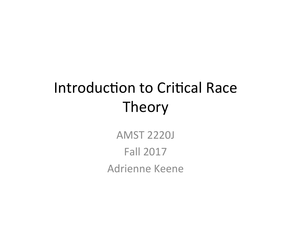# Introduction to Critical Race Theory

**AMST 2220J Fall 2017** Adrienne Keene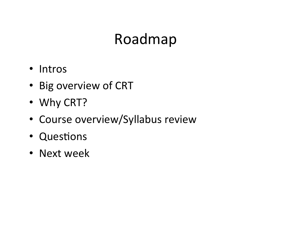# Roadmap

- Intros
- Big overview of CRT
- Why CRT?
- Course overview/Syllabus review
- Questions
- Next week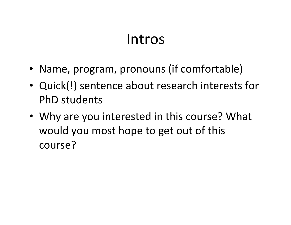## Intros

- Name, program, pronouns (if comfortable)
- Quick(!) sentence about research interests for PhD students
- Why are you interested in this course? What would you most hope to get out of this course?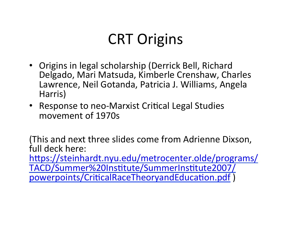# **CRT** Origins

- Origins in legal scholarship (Derrick Bell, Richard Delgado, Mari Matsuda, Kimberle Crenshaw, Charles Lawrence, Neil Gotanda, Patricia J. Williams, Angela Harris)
- Response to neo-Marxist Critical Legal Studies movement of 1970s

(This and next three slides come from Adrienne Dixson, full deck here:

https://steinhardt.nyu.edu/metrocenter.olde/programs/ TACD/Summer%20Institute/SummerInstitute2007/ powerpoints/CriticalRaceTheoryandEducation.pdf)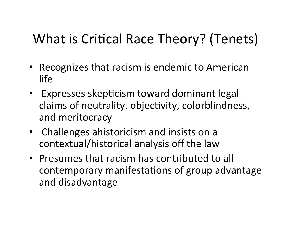#### What is Critical Race Theory? (Tenets)

- Recognizes that racism is endemic to American life
- Expresses skepticism toward dominant legal claims of neutrality, objectivity, colorblindness, and meritocracy
- Challenges ahistoricism and insists on a contextual/historical analysis off the law
- Presumes that racism has contributed to all contemporary manifestations of group advantage and disadvantage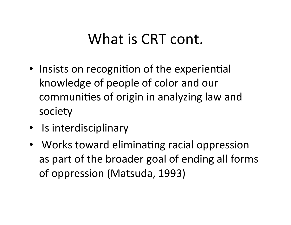## What is CRT cont.

- Insists on recognition of the experiential knowledge of people of color and our communities of origin in analyzing law and society
- Is interdisciplinary
- Works toward eliminating racial oppression as part of the broader goal of ending all forms of oppression (Matsuda, 1993)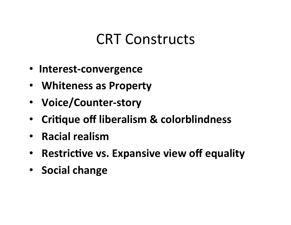#### **CRT Constructs**

- **Interest-convergence**
- **Whiteness as Property**
- **Voice/Counter-story**
- Critique off liberalism & colorblindness
- **Racial realism**
- Restrictive vs. Expansive view off equality
- **Social change**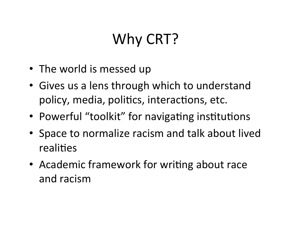# Why CRT?

- The world is messed up
- Gives us a lens through which to understand policy, media, politics, interactions, etc.
- Powerful "toolkit" for navigating institutions
- Space to normalize racism and talk about lived realities
- Academic framework for writing about race and racism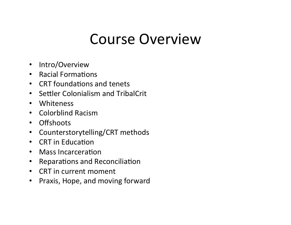## Course Overview

- Intro/Overview
- Racial Formations
- CRT foundations and tenets
- Settler Colonialism and TribalCrit
- Whiteness
- Colorblind Racism
- Offshoots
- Counterstorytelling/CRT methods
- CRT in Education
- Mass Incarceration
- Reparations and Reconciliation
- CRT in current moment
- Praxis, Hope, and moving forward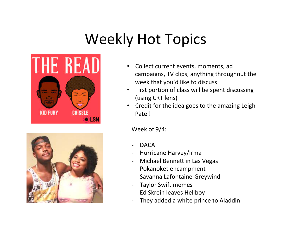# Weekly Hot Topics





- Collect current events, moments, ad campaigns, TV clips, anything throughout the week that you'd like to discuss
- First portion of class will be spent discussing (using CRT lens)
- Credit for the idea goes to the amazing Leigh Patel!

Week of 9/4:

- DACA
- Hurricane Harvey/Irma
- Michael Bennett in Las Vegas
- Pokanoket encampment
- Savanna Lafontaine-Greywind
- Taylor Swift memes
- Ed Skrein leaves Hellboy
- They added a white prince to Aladdin